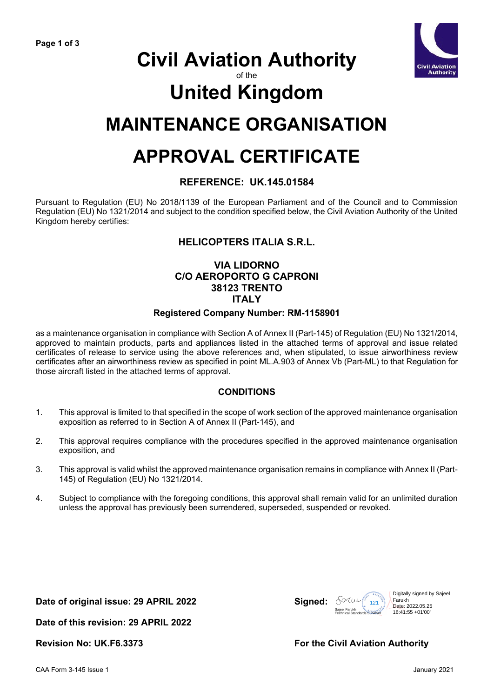

## **Civil Aviation Authority**

of the

# **United Kingdom**

### **MAINTENANCE ORGANISATION**

## **APPROVAL CERTIFICATE**

#### **REFERENCE: UK.145.01584**

Pursuant to Regulation (EU) No 2018/1139 of the European Parliament and of the Council and to Commission Regulation (EU) No 1321/2014 and subject to the condition specified below, the Civil Aviation Authority of the United Kingdom hereby certifies:

### **HELICOPTERS ITALIA S.R.L.**

#### **VIA LIDORNO C/O AEROPORTO G CAPRONI 38123 TRENTO ITALY Registered Company Number: RM-1158901**

as a maintenance organisation in compliance with Section A of Annex II (Part-145) of Regulation (EU) No 1321/2014, approved to maintain products, parts and appliances listed in the attached terms of approval and issue related certificates of release to service using the above references and, when stipulated, to issue airworthiness review certificates after an airworthiness review as specified in point ML.A.903 of Annex Vb (Part-ML) to that Regulation for those aircraft listed in the attached terms of approval.

#### **CONDITIONS**

- 1. This approval is limited to that specified in the scope of work section of the approved maintenance organisation exposition as referred to in Section A of Annex II (Part-145), and
- 2. This approval requires compliance with the procedures specified in the approved maintenance organisation exposition, and
- 3. This approval is valid whilst the approved maintenance organisation remains in compliance with Annex II (Part-145) of Regulation (EU) No 1321/2014.
- 4. Subject to compliance with the foregoing conditions, this approval shall remain valid for an unlimited duration unless the approval has previously been surrendered, superseded, suspended or revoked.

**Date of original issue: 29 APRIL 2022 Signed:**



**Date of this revision: 29 APRIL 2022**

#### **Revision No: UK.F6.3373 For the Civil Aviation Authority**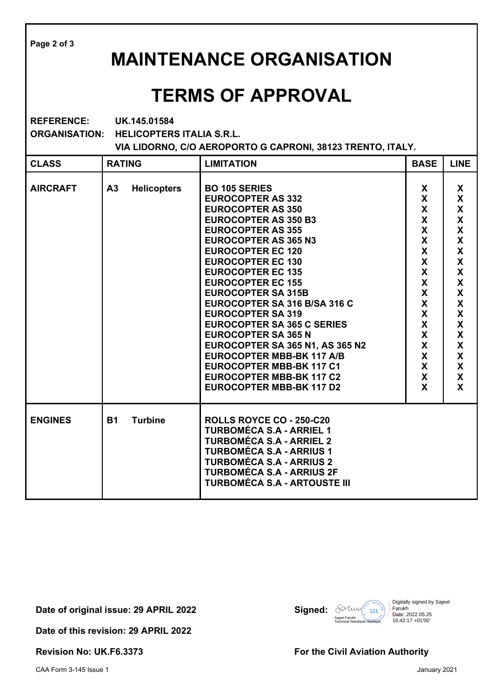| Page 2 of 3                                                                                                                                                 |                                      |                                                                                                                                                                                                                                                                                                                                                                                                                                                                                                                                                                                                                                    |                                                                                                                                   |                                                                                                                                                                   |  |  |
|-------------------------------------------------------------------------------------------------------------------------------------------------------------|--------------------------------------|------------------------------------------------------------------------------------------------------------------------------------------------------------------------------------------------------------------------------------------------------------------------------------------------------------------------------------------------------------------------------------------------------------------------------------------------------------------------------------------------------------------------------------------------------------------------------------------------------------------------------------|-----------------------------------------------------------------------------------------------------------------------------------|-------------------------------------------------------------------------------------------------------------------------------------------------------------------|--|--|
| <b>MAINTENANCE ORGANISATION</b>                                                                                                                             |                                      |                                                                                                                                                                                                                                                                                                                                                                                                                                                                                                                                                                                                                                    |                                                                                                                                   |                                                                                                                                                                   |  |  |
| <b>TERMS OF APPROVAL</b>                                                                                                                                    |                                      |                                                                                                                                                                                                                                                                                                                                                                                                                                                                                                                                                                                                                                    |                                                                                                                                   |                                                                                                                                                                   |  |  |
| <b>REFERENCE:</b><br>UK.145.01584<br><b>ORGANISATION:</b><br><b>HELICOPTERS ITALIA S.R.L.</b><br>VIA LIDORNO, C/O AEROPORTO G CAPRONI, 38123 TRENTO, ITALY. |                                      |                                                                                                                                                                                                                                                                                                                                                                                                                                                                                                                                                                                                                                    |                                                                                                                                   |                                                                                                                                                                   |  |  |
| <b>CLASS</b>                                                                                                                                                | <b>RATING</b>                        | <b>LIMITATION</b>                                                                                                                                                                                                                                                                                                                                                                                                                                                                                                                                                                                                                  | <b>BASE</b>                                                                                                                       | <b>LINE</b>                                                                                                                                                       |  |  |
| <b>AIRCRAFT</b>                                                                                                                                             | <b>Helicopters</b><br>A <sub>3</sub> | <b>BO 105 SERIES</b><br><b>EUROCOPTER AS 332</b><br><b>EUROCOPTER AS 350</b><br><b>EUROCOPTER AS 350 B3</b><br><b>EUROCOPTER AS 355</b><br><b>EUROCOPTER AS 365 N3</b><br><b>EUROCOPTER EC 120</b><br><b>EUROCOPTER EC 130</b><br><b>EUROCOPTER EC 135</b><br><b>EUROCOPTER EC 155</b><br><b>EUROCOPTER SA 315B</b><br>EUROCOPTER SA 316 B/SA 316 C<br><b>EUROCOPTER SA 319</b><br><b>EUROCOPTER SA 365 C SERIES</b><br><b>EUROCOPTER SA 365 N</b><br>EUROCOPTER SA 365 N1, AS 365 N2<br><b>EUROCOPTER MBB-BK 117 A/B</b><br><b>EUROCOPTER MBB-BK 117 C1</b><br><b>EUROCOPTER MBB-BK 117 C2</b><br><b>EUROCOPTER MBB-BK 117 D2</b> | X<br>X<br>X<br>$\mathsf{X}$<br>X<br>$\mathsf{X}$<br>$\mathsf{X}$<br>X<br>X<br>X<br>X<br>X<br>X<br>X<br>X<br>X<br>X<br>X<br>X<br>X | X<br>X<br>$\boldsymbol{\mathsf{X}}$<br>X<br>X<br>X<br>X<br>X<br>X<br>$\pmb{\mathsf{X}}$<br>X<br>$\boldsymbol{\mathsf{X}}$<br>X<br>X<br>X<br>X<br>X<br>X<br>X<br>X |  |  |
| <b>ENGINES</b>                                                                                                                                              | <b>B1</b><br><b>Turbine</b>          | ROLLS ROYCE CO - 250-C20<br><b>TURBOMÉCA S.A - ARRIEL 1</b><br><b>TURBOMÉCA S.A - ARRIEL 2</b><br><b>TURBOMÉCA S.A - ARRIUS 1</b><br><b>TURBOMÉCA S.A - ARRIUS 2</b><br><b>TURBOMÉCA S.A - ARRIUS 2F</b><br><b>TURBOMÉCA S.A - ARTOUSTE III</b>                                                                                                                                                                                                                                                                                                                                                                                    |                                                                                                                                   |                                                                                                                                                                   |  |  |

Date of original issue: 29 APRIL 2022

**Date of this revision: 29 APRIL 2022** 

**Signed:**  $\frac{\text{Squel} \cdot \text{Ruchy}}{\text{Sajeel Fandard}}$ Digitally signed by Sajeel<br>
Farukh (1213)<br>
Date: 2022.05.25<br>
Technical Standards Surveyor 16:42:17 +01'00'

**Revision No: UK.F6.3373 For the Civil Aviation Authority**